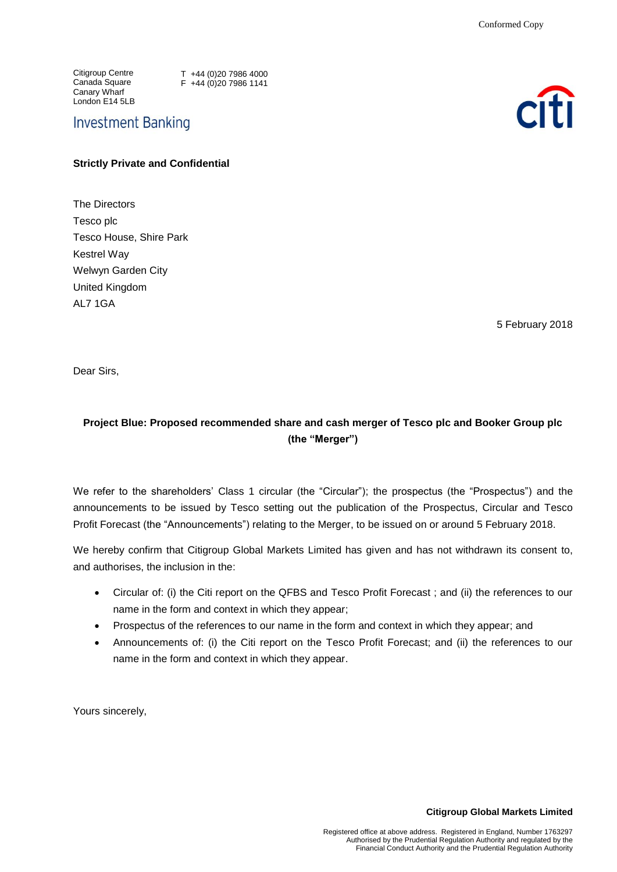Citigroup Centre Canada Square Canary Wharf London E14 5LB

T +44 (0)20 7986 4000  $F +44 (0)20 7986 1141$ 

**Investment Banking** 



## **Strictly Private and Confidential**

The Directors Tesco plc Tesco House, Shire Park Kestrel Way Welwyn Garden City United Kingdom AL7 1GA

5 February 2018

Dear Sirs,

## **Project Blue: Proposed recommended share and cash merger of Tesco plc and Booker Group plc (the "Merger")**

We refer to the shareholders' Class 1 circular (the "Circular"); the prospectus (the "Prospectus") and the announcements to be issued by Tesco setting out the publication of the Prospectus, Circular and Tesco Profit Forecast (the "Announcements") relating to the Merger, to be issued on or around 5 February 2018.

We hereby confirm that Citigroup Global Markets Limited has given and has not withdrawn its consent to, and authorises, the inclusion in the:

- Circular of: (i) the Citi report on the QFBS and Tesco Profit Forecast ; and (ii) the references to our name in the form and context in which they appear;
- Prospectus of the references to our name in the form and context in which they appear; and
- Announcements of: (i) the Citi report on the Tesco Profit Forecast; and (ii) the references to our name in the form and context in which they appear.

Yours sincerely,